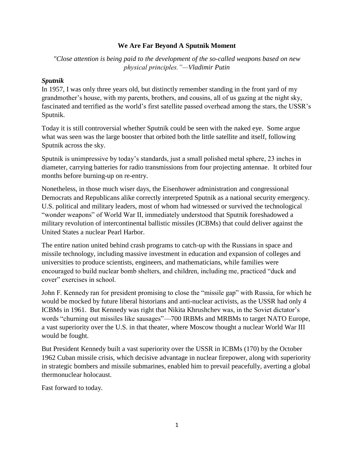### **We Are Far Beyond A Sputnik Moment**

*"Close attention is being paid to the development of the so-called weapons based on new physical principles."—Vladimir Putin*

#### *Sputnik*

In 1957, I was only three years old, but distinctly remember standing in the front yard of my grandmother"s house, with my parents, brothers, and cousins, all of us gazing at the night sky, fascinated and terrified as the world's first satellite passed overhead among the stars, the USSR's Sputnik.

Today it is still controversial whether Sputnik could be seen with the naked eye. Some argue what was seen was the large booster that orbited both the little satellite and itself, following Sputnik across the sky.

Sputnik is unimpressive by today"s standards, just a small polished metal sphere, 23 inches in diameter, carrying batteries for radio transmissions from four projecting antennae. It orbited four months before burning-up on re-entry.

Nonetheless, in those much wiser days, the Eisenhower administration and congressional Democrats and Republicans alike correctly interpreted Sputnik as a national security emergency. U.S. political and military leaders, most of whom had witnessed or survived the technological "wonder weapons" of World War II, immediately understood that Sputnik foreshadowed a military revolution of intercontinental ballistic missiles (ICBMs) that could deliver against the United States a nuclear Pearl Harbor.

The entire nation united behind crash programs to catch-up with the Russians in space and missile technology, including massive investment in education and expansion of colleges and universities to produce scientists, engineers, and mathematicians, while families were encouraged to build nuclear bomb shelters, and children, including me, practiced "duck and cover" exercises in school.

John F. Kennedy ran for president promising to close the "missile gap" with Russia, for which he would be mocked by future liberal historians and anti-nuclear activists, as the USSR had only 4 ICBMs in 1961. But Kennedy was right that Nikita Khrushchev was, in the Soviet dictator"s words "churning out missiles like sausages"—700 IRBMs and MRBMs to target NATO Europe, a vast superiority over the U.S. in that theater, where Moscow thought a nuclear World War III would be fought.

But President Kennedy built a vast superiority over the USSR in ICBMs (170) by the October 1962 Cuban missile crisis, which decisive advantage in nuclear firepower, along with superiority in strategic bombers and missile submarines, enabled him to prevail peacefully, averting a global thermonuclear holocaust.

Fast forward to today.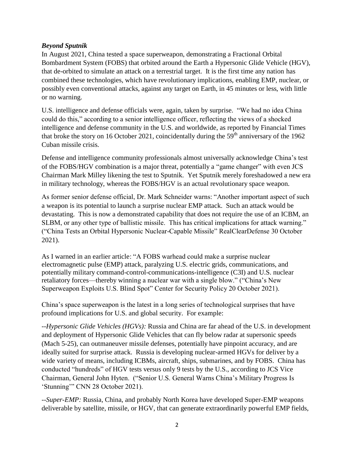# *Beyond Sputnik*

In August 2021, China tested a space superweapon, demonstrating a Fractional Orbital Bombardment System (FOBS) that orbited around the Earth a Hypersonic Glide Vehicle (HGV), that de-orbited to simulate an attack on a terrestrial target. It is the first time any nation has combined these technologies, which have revolutionary implications, enabling EMP, nuclear, or possibly even conventional attacks, against any target on Earth, in 45 minutes or less, with little or no warning.

U.S. intelligence and defense officials were, again, taken by surprise. "We had no idea China could do this," according to a senior intelligence officer, reflecting the views of a shocked intelligence and defense community in the U.S. and worldwide, as reported by Financial Times that broke the story on 16 October 2021, coincidentally during the  $59<sup>th</sup>$  anniversary of the 1962 Cuban missile crisis.

Defense and intelligence community professionals almost universally acknowledge China"s test of the FOBS/HGV combination is a major threat, potentially a "game changer" with even JCS Chairman Mark Milley likening the test to Sputnik. Yet Sputnik merely foreshadowed a new era in military technology, whereas the FOBS/HGV is an actual revolutionary space weapon.

As former senior defense official, Dr. Mark Schneider warns: "Another important aspect of such a weapon is its potential to launch a surprise nuclear EMP attack. Such an attack would be devastating. This is now a demonstrated capability that does not require the use of an ICBM, an SLBM, or any other type of ballistic missile. This has critical implications for attack warning." ("China Tests an Orbital Hypersonic Nuclear-Capable Missile" RealClearDefense 30 October 2021).

As I warned in an earlier article: "A FOBS warhead could make a surprise nuclear electromagnetic pulse (EMP) attack, paralyzing U.S. electric grids, communications, and potentially military command-control-communications-intelligence (C3I) and U.S. nuclear retaliatory forces—thereby winning a nuclear war with a single blow." ("China"s New Superweapon Exploits U.S. Blind Spot" Center for Security Policy 20 October 2021).

China"s space superweapon is the latest in a long series of technological surprises that have profound implications for U.S. and global security. For example:

--*Hypersonic Glide Vehicles (HGVs):* Russia and China are far ahead of the U.S. in development and deployment of Hypersonic Glide Vehicles that can fly below radar at supersonic speeds (Mach 5-25), can outmaneuver missile defenses, potentially have pinpoint accuracy, and are ideally suited for surprise attack. Russia is developing nuclear-armed HGVs for deliver by a wide variety of means, including ICBMs, aircraft, ships, submarines, and by FOBS. China has conducted "hundreds" of HGV tests versus only 9 tests by the U.S., according to JCS Vice Chairman, General John Hyten. ("Senior U.S. General Warns China"s Military Progress Is "Stunning"" CNN 28 October 2021).

--*Super-EMP:* Russia, China, and probably North Korea have developed Super-EMP weapons deliverable by satellite, missile, or HGV, that can generate extraordinarily powerful EMP fields,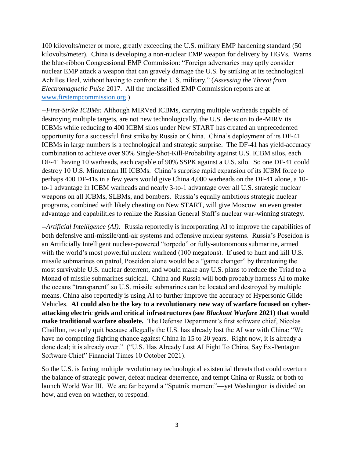100 kilovolts/meter or more, greatly exceeding the U.S. military EMP hardening standard (50 kilovolts/meter). China is developing a non-nuclear EMP weapon for delivery by HGVs. Warns the blue-ribbon Congressional EMP Commission: "Foreign adversaries may aptly consider nuclear EMP attack a weapon that can gravely damage the U.S. by striking at its technological Achilles Heel, without having to confront the U.S. military." (*Assessing the Threat from Electromagnetic Pulse* 2017. All the unclassified EMP Commission reports are at [www.firstempcommission.org.](http://www.firstempcommission.org/))

--*First-Strike ICBMs:* Although MIRVed ICBMs, carrying multiple warheads capable of destroying multiple targets, are not new technologically, the U.S. decision to de-MIRV its ICBMs while reducing to 400 ICBM silos under New START has created an unprecedented opportunity for a successful first strike by Russia or China. China"s deployment of its DF-41 ICBMs in large numbers is a technological and strategic surprise. The DF-41 has yield-accuracy combination to achieve over 90% Single-Shot-Kill-Probability against U.S. ICBM silos, each DF-41 having 10 warheads, each capable of 90% SSPK against a U.S. silo. So one DF-41 could destroy 10 U.S. Minuteman III ICBMs. China"s surprise rapid expansion of its ICBM force to perhaps 400 DF-41s in a few years would give China 4,000 warheads on the DF-41 alone, a 10 to-1 advantage in ICBM warheads and nearly 3-to-1 advantage over all U.S. strategic nuclear weapons on all ICBMs, SLBMs, and bombers. Russia"s equally ambitious strategic nuclear programs, combined with likely cheating on New START, will give Moscow an even greater advantage and capabilities to realize the Russian General Staff"s nuclear war-winning strategy.

--*Artificial Intelligence (AI):* Russia reportedly is incorporating AI to improve the capabilities of both defensive anti-missile/anti-air systems and offensive nuclear systems. Russia's Poseidon is an Artificially Intelligent nuclear-powered "torpedo" or fully-autonomous submarine, armed with the world's most powerful nuclear warhead (100 megatons). If used to hunt and kill U.S. missile submarines on patrol, Poseidon alone would be a "game changer" by threatening the most survivable U.S. nuclear deterrent, and would make any U.S. plans to reduce the Triad to a Monad of missile submarines suicidal. China and Russia will both probably harness AI to make the oceans "transparent" so U.S. missile submarines can be located and destroyed by multiple means. China also reportedly is using AI to further improve the accuracy of Hypersonic Glide Vehicles. **AI could also be the key to a revolutionary new way of warfare focused on cyberattacking electric grids and critical infrastructures (see** *Blackout Warfare* **2021) that would**  make traditional warfare obsolete. The Defense Department's first software chief, Nicolas Chaillon, recently quit because allegedly the U.S. has already lost the AI war with China: "We have no competing fighting chance against China in 15 to 20 years. Right now, it is already a done deal; it is already over." ("U.S. Has Already Lost AI Fight To China, Say Ex-Pentagon Software Chief" Financial Times 10 October 2021).

So the U.S. is facing multiple revolutionary technological existential threats that could overturn the balance of strategic power, defeat nuclear deterrence, and tempt China or Russia or both to launch World War III. We are far beyond a "Sputnik moment"—yet Washington is divided on how, and even on whether, to respond.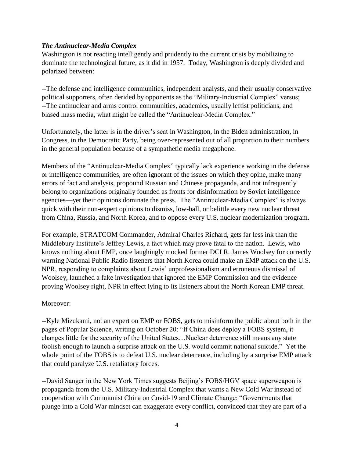### *The Antinuclear-Media Complex*

Washington is not reacting intelligently and prudently to the current crisis by mobilizing to dominate the technological future, as it did in 1957. Today, Washington is deeply divided and polarized between:

--The defense and intelligence communities, independent analysts, and their usually conservative political supporters, often derided by opponents as the "Military-Industrial Complex" versus; --The antinuclear and arms control communities, academics, usually leftist politicians, and biased mass media, what might be called the "Antinuclear-Media Complex."

Unfortunately, the latter is in the driver"s seat in Washington, in the Biden administration, in Congress, in the Democratic Party, being over-represented out of all proportion to their numbers in the general population because of a sympathetic media megaphone.

Members of the "Antinuclear-Media Complex" typically lack experience working in the defense or intelligence communities, are often ignorant of the issues on which they opine, make many errors of fact and analysis, propound Russian and Chinese propaganda, and not infrequently belong to organizations originally founded as fronts for disinformation by Soviet intelligence agencies—yet their opinions dominate the press. The "Antinuclear-Media Complex" is always quick with their non-expert opinions to dismiss, low-ball, or belittle every new nuclear threat from China, Russia, and North Korea, and to oppose every U.S. nuclear modernization program.

For example, STRATCOM Commander, Admiral Charles Richard, gets far less ink than the Middlebury Institute's Jeffrey Lewis, a fact which may prove fatal to the nation. Lewis, who knows nothing about EMP, once laughingly mocked former DCI R. James Woolsey for correctly warning National Public Radio listeners that North Korea could make an EMP attack on the U.S. NPR, responding to complaints about Lewis" unprofessionalism and erroneous dismissal of Woolsey, launched a fake investigation that ignored the EMP Commission and the evidence proving Woolsey right, NPR in effect lying to its listeners about the North Korean EMP threat.

# Moreover:

--Kyle Mizukami, not an expert on EMP or FOBS, gets to misinform the public about both in the pages of Popular Science, writing on October 20: "If China does deploy a FOBS system, it changes little for the security of the United States…Nuclear deterrence still means any state foolish enough to launch a surprise attack on the U.S. would commit national suicide." Yet the whole point of the FOBS is to defeat U.S. nuclear deterrence, including by a surprise EMP attack that could paralyze U.S. retaliatory forces.

--David Sanger in the New York Times suggests Beijing"s FOBS/HGV space superweapon is propaganda from the U.S. Military-Industrial Complex that wants a New Cold War instead of cooperation with Communist China on Covid-19 and Climate Change: "Governments that plunge into a Cold War mindset can exaggerate every conflict, convinced that they are part of a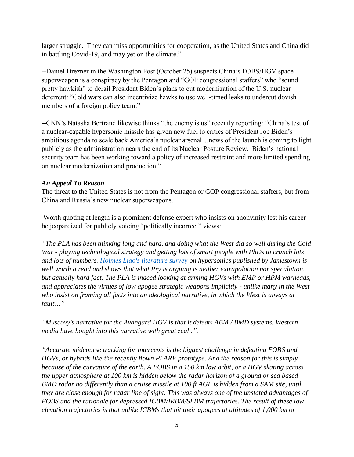larger struggle. They can miss opportunities for cooperation, as the United States and China did in battling Covid-19, and may yet on the climate."

--Daniel Drezner in the Washington Post (October 25) suspects China"s FOBS/HGV space superweapon is a conspiracy by the Pentagon and "GOP congressional staffers" who "sound pretty hawkish" to derail President Biden"s plans to cut modernization of the U.S. nuclear deterrent: "Cold wars can also incentivize hawks to use well-timed leaks to undercut dovish members of a foreign policy team."

--CNN"s Natasha Bertrand likewise thinks "the enemy is us" recently reporting: "China"s test of a nuclear-capable hypersonic missile has given new fuel to critics of President Joe Biden"s ambitious agenda to scale back America"s nuclear arsenal…news of the launch is coming to light publicly as the administration nears the end of its Nuclear Posture Review. Biden"s national security team has been working toward a policy of increased restraint and more limited spending on nuclear modernization and production."

# *An Appeal To Reason*

The threat to the United States is not from the Pentagon or GOP congressional staffers, but from China and Russia"s new nuclear superweapons.

Worth quoting at length is a prominent defense expert who insists on anonymity lest his career be jeopardized for publicly voicing "politically incorrect" views:

*"The PLA has been thinking long and hard, and doing what the West did so well during the Cold War - playing technological strategy and getting lots of smart people with PhDs to crunch lots and lots of numbers. [Holmes Liao's literature survey](https://jamestown.org/program/chinas-development-of-hypersonic-missiles-and-thought-on-hypersonic-defense/) on hypersonics published by Jamestown is well worth a read and shows that what Pry is arguing is neither extrapolation nor speculation, but actually hard fact. The PLA is indeed looking at arming HGVs with EMP or HPM warheads, and appreciates the virtues of low apogee strategic weapons implicitly - unlike many in the West*  who insist on framing all facts into an ideological narrative, in which the West is always at *fault…"*

*"Muscovy's narrative for the Avangard HGV is that it defeats ABM / BMD systems. Western media have bought into this narrative with great zeal..".*

*"Accurate midcourse tracking for intercepts is the biggest challenge in defeating FOBS and HGVs, or hybrids like the recently flown PLARF prototype. And the reason for this is simply because of the curvature of the earth. A FOBS in a 150 km low orbit, or a HGV skating across the upper atmosphere at 100 km is hidden below the radar horizon of a ground or sea based BMD radar no differently than a cruise missile at 100 ft AGL is hidden from a SAM site, until they are close enough for radar line of sight. This was always one of the unstated advantages of FOBS and the rationale for depressed ICBM/IRBM/SLBM trajectories. The result of these low elevation trajectories is that unlike ICBMs that hit their apogees at altitudes of 1,000 km or*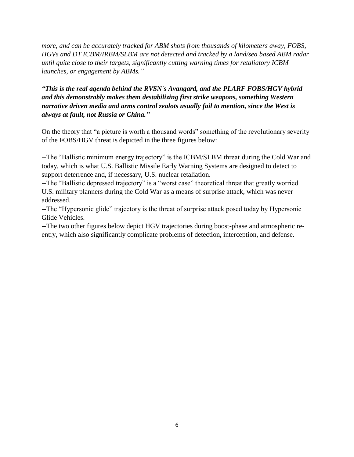*more, and can be accurately tracked for ABM shots from thousands of kilometers away, FOBS, HGVs and DT ICBM/IRBM/SLBM are not detected and tracked by a land/sea based ABM radar until quite close to their targets, significantly cutting warning times for retaliatory ICBM launches, or engagement by ABMs."*

# *"This is the real agenda behind the RVSN's Avangard, and the PLARF FOBS/HGV hybrid and this demonstrably makes them destabilizing first strike weapons, something Western narrative driven media and arms control zealots usually fail to mention, since the West is always at fault, not Russia or China."*

On the theory that "a picture is worth a thousand words" something of the revolutionary severity of the FOBS/HGV threat is depicted in the three figures below:

--The "Ballistic minimum energy trajectory" is the ICBM/SLBM threat during the Cold War and today, which is what U.S. Ballistic Missile Early Warning Systems are designed to detect to support deterrence and, if necessary, U.S. nuclear retaliation.

--The "Ballistic depressed trajectory" is a "worst case" theoretical threat that greatly worried U.S. military planners during the Cold War as a means of surprise attack, which was never addressed.

--The "Hypersonic glide" trajectory is the threat of surprise attack posed today by Hypersonic Glide Vehicles.

--The two other figures below depict HGV trajectories during boost-phase and atmospheric reentry, which also significantly complicate problems of detection, interception, and defense.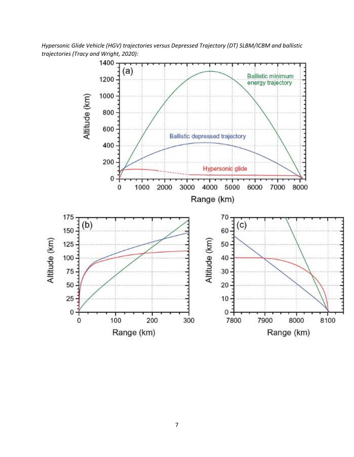*Hypersonic Glide Vehicle (HGV) trajectories versus Depressed Trajectory (DT) SLBM/ICBM and ballistic trajectories (Tracy and Wright, 2020):*

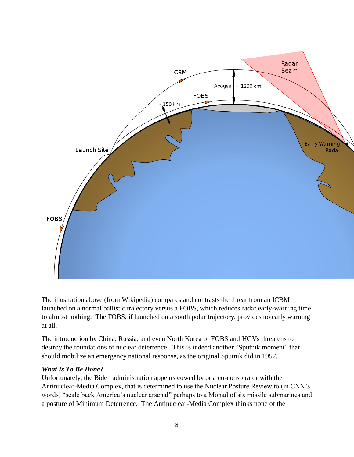

The illustration above (from Wikipedia) compares and contrasts the threat from an ICBM launched on a normal ballistic trajectory versus a FOBS, which reduces radar early-warning time to almost nothing. The FOBS, if launched on a south polar trajectory, provides no early warning at all.

The introduction by China, Russia, and even North Korea of FOBS and HGVs threatens to destroy the foundations of nuclear deterrence. This is indeed another "Sputnik moment" that should mobilize an emergency national response, as the original Sputnik did in 1957.

#### *What Is To Be Done?*

Unfortunately, the Biden administration appears cowed by or a co-conspirator with the Antinuclear-Media Complex, that is determined to use the Nuclear Posture Review to (in CNN"s words) "scale back America"s nuclear arsenal" perhaps to a Monad of six missile submarines and a posture of Minimum Deterrence. The Antinuclear-Media Complex thinks none of the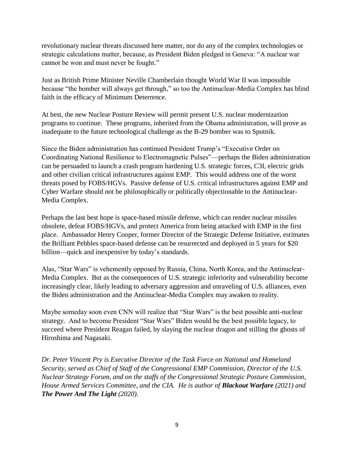revolutionary nuclear threats discussed here matter, nor do any of the complex technologies or strategic calculations matter, because, as President Biden pledged in Geneva: "A nuclear war cannot be won and must never be fought."

Just as British Prime Minister Neville Chamberlain thought World War II was impossible because "the bomber will always get through," so too the Antinuclear-Media Complex has blind faith in the efficacy of Minimum Deterrence.

At best, the new Nuclear Posture Review will permit present U.S. nuclear modernization programs to continue. These programs, inherited from the Obama administration, will prove as inadequate to the future technological challenge as the B-29 bomber was to Sputnik.

Since the Biden administration has continued President Trump"s "Executive Order on Coordinating National Resilience to Electromagnetic Pulses"—perhaps the Biden administration can be persuaded to launch a crash program hardening U.S. strategic forces, C3I, electric grids and other civilian critical infrastructures against EMP. This would address one of the worst threats posed by FOBS/HGVs. Passive defense of U.S. critical infrastructures against EMP and Cyber Warfare should not be philosophically or politically objectionable to the Antinuclear-Media Complex.

Perhaps the last best hope is space-based missile defense, which can render nuclear missiles obsolete, defeat FOBS/HGVs, and protect America from being attacked with EMP in the first place. Ambassador Henry Cooper, former Director of the Strategic Defense Initiative, estimates the Brilliant Pebbles space-based defense can be resurrected and deployed in 5 years for \$20 billion—quick and inexpensive by today's standards.

Alas, "Star Wars" is vehemently opposed by Russia, China, North Korea, and the Antinuclear-Media Complex. But as the consequences of U.S. strategic inferiority and vulnerability become increasingly clear, likely leading to adversary aggression and unraveling of U.S. alliances, even the Biden administration and the Antinuclear-Media Complex may awaken to reality.

Maybe someday soon even CNN will realize that "Star Wars" is the best possible anti-nuclear strategy. And to become President "Star Wars" Biden would be the best possible legacy, to succeed where President Reagan failed, by slaying the nuclear dragon and stilling the ghosts of Hiroshima and Nagasaki.

*Dr. Peter Vincent Pry is Executive Director of the Task Force on National and Homeland Security, served as Chief of Staff of the Congressional EMP Commission, Director of the U.S. Nuclear Strategy Forum, and on the staffs of the Congressional Strategic Posture Commission, House Armed Services Committee, and the CIA. He is author of Blackout Warfare (2021) and The Power And The Light (2020).*